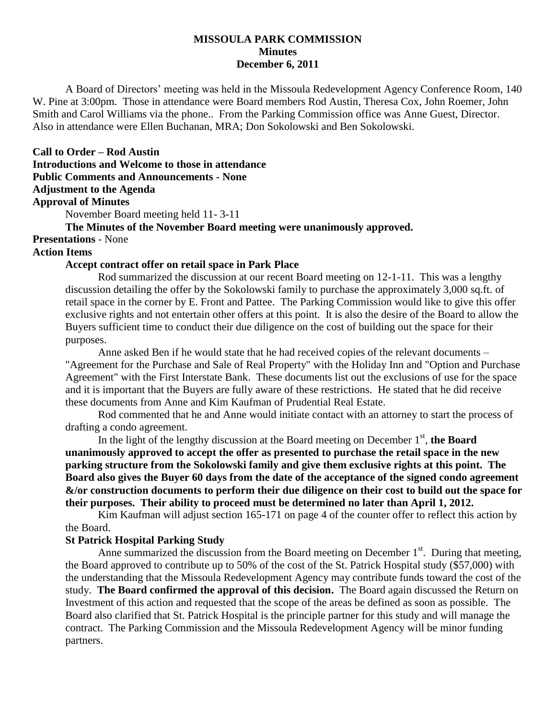## **MISSOULA PARK COMMISSION Minutes December 6, 2011**

A Board of Directors' meeting was held in the Missoula Redevelopment Agency Conference Room, 140 W. Pine at 3:00pm. Those in attendance were Board members Rod Austin, Theresa Cox, John Roemer, John Smith and Carol Williams via the phone.. From the Parking Commission office was Anne Guest, Director. Also in attendance were Ellen Buchanan, MRA; Don Sokolowski and Ben Sokolowski.

## **Call to Order – Rod Austin**

**Introductions and Welcome to those in attendance Public Comments and Announcements - None**

# **Adjustment to the Agenda**

# **Approval of Minutes**

November Board meeting held 11- 3-11

# **The Minutes of the November Board meeting were unanimously approved.**

**Presentations** - None

#### **Action Items**

# **Accept contract offer on retail space in Park Place**

Rod summarized the discussion at our recent Board meeting on 12-1-11. This was a lengthy discussion detailing the offer by the Sokolowski family to purchase the approximately 3,000 sq.ft. of retail space in the corner by E. Front and Pattee. The Parking Commission would like to give this offer exclusive rights and not entertain other offers at this point. It is also the desire of the Board to allow the Buyers sufficient time to conduct their due diligence on the cost of building out the space for their purposes.

Anne asked Ben if he would state that he had received copies of the relevant documents – "Agreement for the Purchase and Sale of Real Property" with the Holiday Inn and "Option and Purchase Agreement" with the First Interstate Bank. These documents list out the exclusions of use for the space and it is important that the Buyers are fully aware of these restrictions. He stated that he did receive these documents from Anne and Kim Kaufman of Prudential Real Estate.

Rod commented that he and Anne would initiate contact with an attorney to start the process of drafting a condo agreement.

In the light of the lengthy discussion at the Board meeting on December  $1<sup>st</sup>$ , the Board **unanimously approved to accept the offer as presented to purchase the retail space in the new parking structure from the Sokolowski family and give them exclusive rights at this point. The Board also gives the Buyer 60 days from the date of the acceptance of the signed condo agreement &/or construction documents to perform their due diligence on their cost to build out the space for their purposes. Their ability to proceed must be determined no later than April 1, 2012.**

Kim Kaufman will adjust section 165-171 on page 4 of the counter offer to reflect this action by the Board.

#### **St Patrick Hospital Parking Study**

Anne summarized the discussion from the Board meeting on December  $1<sup>st</sup>$ . During that meeting, the Board approved to contribute up to 50% of the cost of the St. Patrick Hospital study (\$57,000) with the understanding that the Missoula Redevelopment Agency may contribute funds toward the cost of the study. **The Board confirmed the approval of this decision.** The Board again discussed the Return on Investment of this action and requested that the scope of the areas be defined as soon as possible. The Board also clarified that St. Patrick Hospital is the principle partner for this study and will manage the contract. The Parking Commission and the Missoula Redevelopment Agency will be minor funding partners.